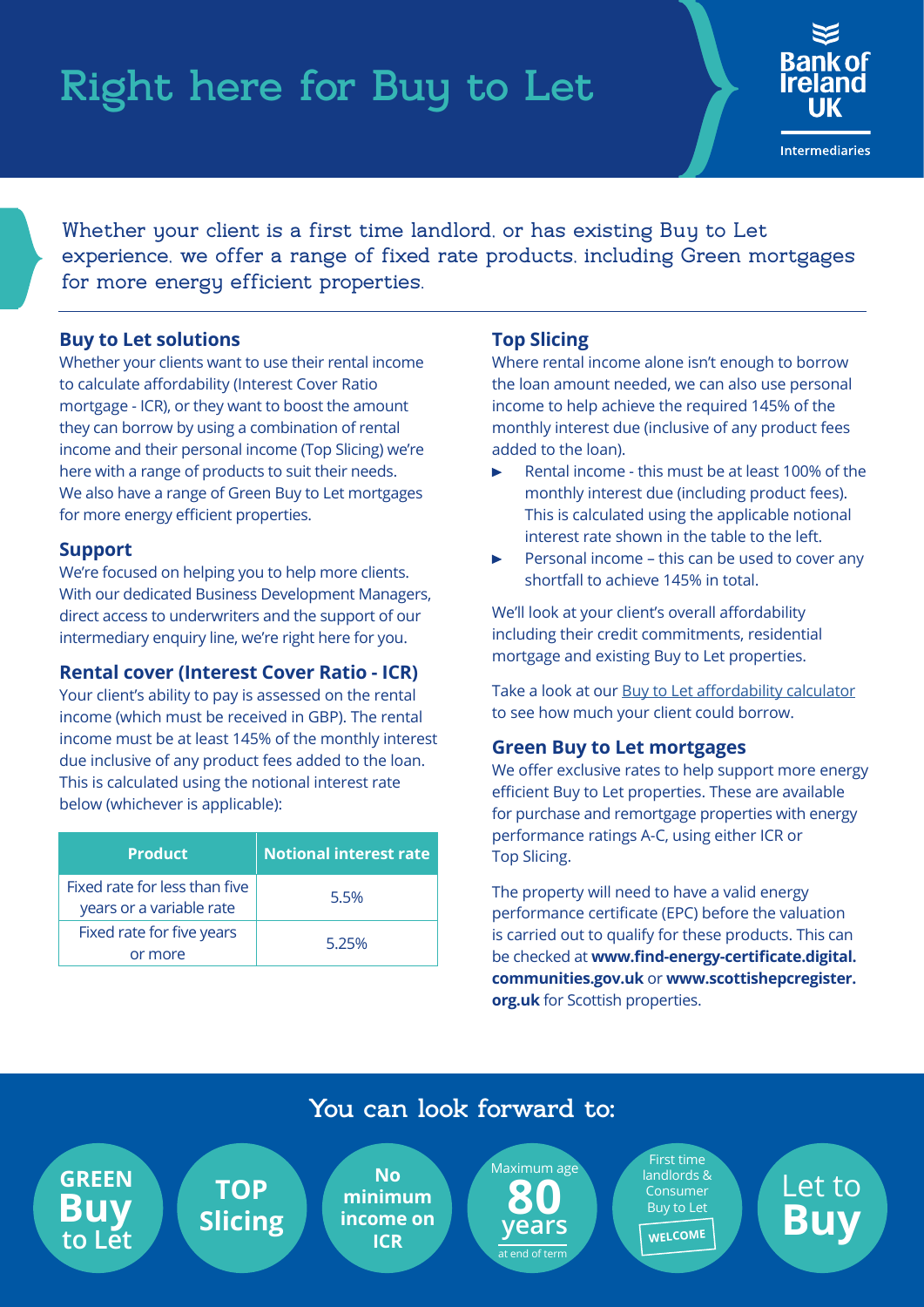# **Right here for Buy to Let**



Whether your client is a first time landlord, or has existing Buy to Let experience, we offer a range of fixed rate products, including Green mortgages for more energy efficient properties.

#### **Buy to Let solutions**

Whether your clients want to use their rental income to calculate affordability (Interest Cover Ratio mortgage - ICR), or they want to boost the amount they can borrow by using a combination of rental income and their personal income (Top Slicing) we're here with a range of products to suit their needs. We also have a range of Green Buy to Let mortgages for more energy efficient properties.

#### **Support**

We're focused on helping you to help more clients. With our dedicated Business Development Managers, direct access to underwriters and the support of our intermediary enquiry line, we're right here for you.

#### **Rental cover (Interest Cover Ratio - ICR)**

Your client's ability to pay is assessed on the rental income (which must be received in GBP). The rental income must be at least 145% of the monthly interest due inclusive of any product fees added to the loan. This is calculated using the notional interest rate below (whichever is applicable):

| <b>Product</b>                                            | <b>Notional interest rate</b> |
|-----------------------------------------------------------|-------------------------------|
| Fixed rate for less than five<br>years or a variable rate | 5.5%                          |
| Fixed rate for five years                                 | 5.25%                         |
| or more                                                   |                               |

#### **Top Slicing**

Where rental income alone isn't enough to borrow the loan amount needed, we can also use personal income to help achieve the required 145% of the monthly interest due (inclusive of any product fees added to the loan).

- Rental income this must be at least 100% of the monthly interest due (including product fees). This is calculated using the applicable notional interest rate shown in the table to the left.
- Personal income this can be used to cover any shortfall to achieve 145% in total.

We'll look at your client's overall affordability including their credit commitments, residential mortgage and existing Buy to Let properties.

Take a look at our [Buy to Let affordability calculator](https://www.bankofireland4intermediaries.co.uk/calculators/buy-to-let-calculator/) to see how much your client could borrow.

#### **Green Buy to Let mortgages**

We offer exclusive rates to help support more energy efficient Buy to Let properties. These are available for purchase and remortgage properties with energy performance ratings A-C, using either ICR or Top Slicing.

The property will need to have a valid energy performance certificate (EPC) before the valuation is carried out to qualify for these products. This can be checked at **www.find-energy-certificate.digital. communities.gov.uk** or **www.scottishepcregister. org.uk** for Scottish properties.